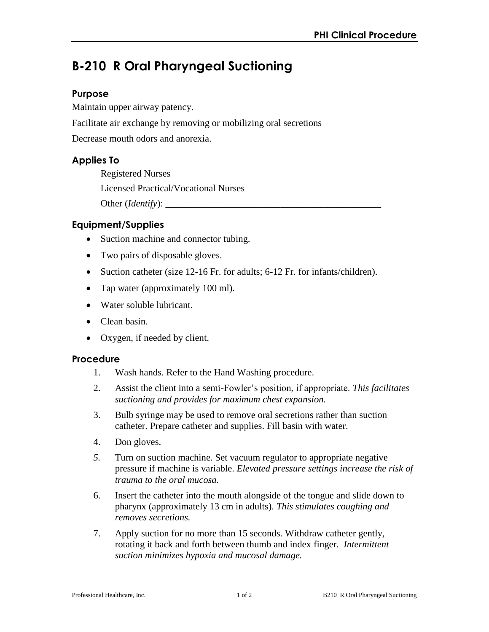# **B-210 R Oral Pharyngeal Suctioning**

## **Purpose**

Maintain upper airway patency.

Facilitate air exchange by removing or mobilizing oral secretions

Decrease mouth odors and anorexia.

# **Applies To**

Registered Nurses Licensed Practical/Vocational Nurses Other (*Identify*):

# **Equipment/Supplies**

- Suction machine and connector tubing.
- Two pairs of disposable gloves.
- Suction catheter (size 12-16 Fr. for adults; 6-12 Fr. for infants/children).
- Tap water (approximately 100 ml).
- Water soluble lubricant.
- Clean basin.
- Oxygen, if needed by client.

#### **Procedure**

- 1. Wash hands. Refer to the Hand Washing procedure.
- 2. Assist the client into a semi-Fowler's position, if appropriate. *This facilitates suctioning and provides for maximum chest expansion.*
- 3. Bulb syringe may be used to remove oral secretions rather than suction catheter. Prepare catheter and supplies. Fill basin with water.
- 4. Don gloves.
- *5.* Turn on suction machine. Set vacuum regulator to appropriate negative pressure if machine is variable. *Elevated pressure settings increase the risk of trauma to the oral mucosa.*
- 6. Insert the catheter into the mouth alongside of the tongue and slide down to pharynx (approximately 13 cm in adults). *This stimulates coughing and removes secretions.*
- 7. Apply suction for no more than 15 seconds. Withdraw catheter gently, rotating it back and forth between thumb and index finger. *Intermittent suction minimizes hypoxia and mucosal damage.*